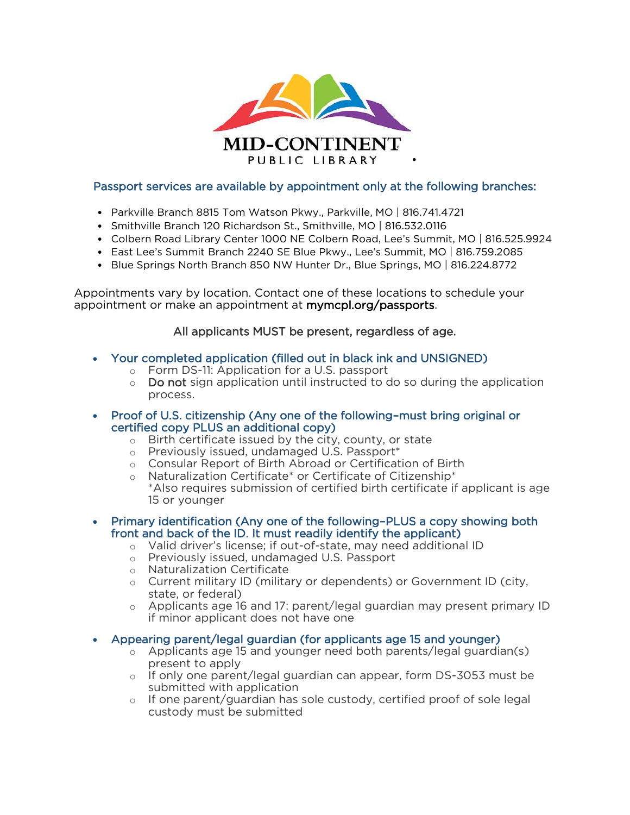

## Passport services are available by appointment only at the following branches:

- Parkville Branch 8815 Tom Watson Pkwy., Parkville, MO | 816.741.4721
- Smithville Branch 120 Richardson St., Smithville, MO | 816.532.0116
- Colbern Road Library Center 1000 NE Colbern Road, Lee's Summit, MO | 816.525.9924
- East Lee's Summit Branch 2240 SE Blue Pkwy., Lee's Summit, MO | 816.759.2085
- Blue Springs North Branch 850 NW Hunter Dr., Blue Springs, MO | 816.224.8772

 Appointments vary by location. Contact one of these locations to schedule your appointment or make an appointment at **[mymcpl.org/passports](https://mymcpl.org/passports)**.

## All applicants MUST be present, regardless of age.

- Your completed application (filled out in black ink and UNSIGNED)
	- o Form DS-11: Application for a U.S. passport
	- $\circ$  Do not sign application until instructed to do so during the application process.
- Proof of U.S. citizenship (Any one of the following–must bring original or certified copy PLUS an additional copy)
	- o Birth certificate issued by the city, county, or state
	- o Previously issued, undamaged U.S. Passport\*
	- o Consular Report of Birth Abroad or Certification of Birth
	- \*Also requires submission of certified birth certificate if applicant is age o Naturalization Certificate\* or Certificate of Citizenship\* 15 or younger
- Primary identification (Any one of the following–PLUS a copy showing both front and back of the ID. It must readily identify the applicant)
	- o Valid driver's license; if out-of-state, may need additional ID
	- o Previously issued, undamaged U.S. Passport
	- o Naturalization Certificate
	- o Current military ID (military or dependents) or Government ID (city, state, or federal)
	- o Applicants age 16 and 17: parent/legal guardian may present primary ID if minor applicant does not have one
- Appearing parent/legal guardian (for applicants age 15 and younger)
	- o Applicants age 15 and younger need both parents/legal guardian(s) present to apply
	- o If only one parent/legal guardian can appear, form DS-3053 must be submitted with application
	- o If one parent/guardian has sole custody, certified proof of sole legal custody must be submitted